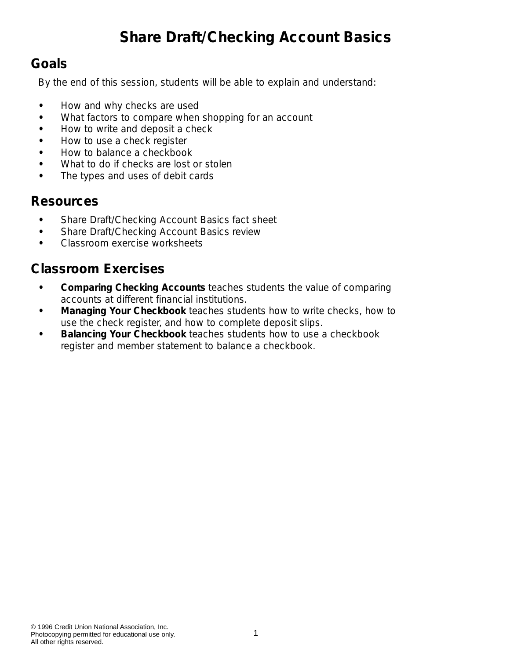# **Share Draft/Checking Account Basics**

#### **Goals**

By the end of this session, students will be able to explain and understand:

- **•** How and why checks are used
- **•** What factors to compare when shopping for an account
- **•** How to write and deposit a check
- **•** How to use a check register
- **•** How to balance a checkbook
- **•** What to do if checks are lost or stolen
- **•** The types and uses of debit cards

#### **Resources**

- **•** *Share Draft/Checking Account Basics* fact sheet
- **•** *Share Draft/Checking Account Basics* review
- **•** Classroom exercise worksheets

#### **Classroom Exercises**

- **•** *Comparing Checking Accounts* teaches students the value of comparing accounts at different financial institutions.
- **•** *Managing Your Checkbook* teaches students how to write checks, how to use the check register, and how to complete deposit slips.
- **•** *Balancing Your Checkbook* teaches students how to use a checkbook register and member statement to balance a checkbook.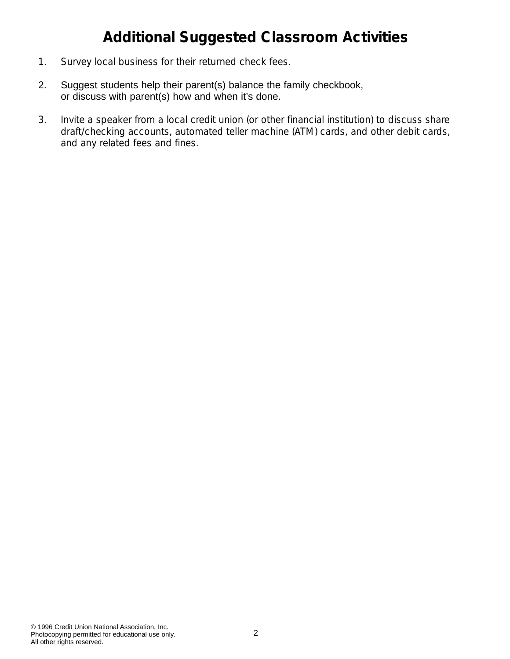# **Additional Suggested Classroom Activities**

- 1. Survey local business for their returned check fees.
- 2. Suggest students help their parent(s) balance the family checkbook, or discuss with parent(s) how and when it's done.
- 3. Invite a speaker from a local credit union (or other financial institution) to discuss share draft/checking accounts, automated teller machine (ATM) cards, and other debit cards, and any related fees and fines.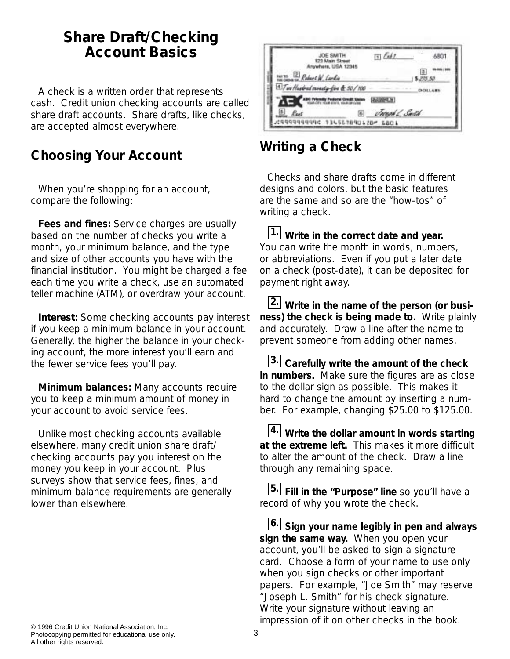#### **Share Draft/Checking Account Basics**

A check is a written order that represents cash. Credit union checking accounts are called share draft accounts. Share drafts, like checks, are accepted almost everywhere.

#### **Choosing Your Account**

When you're shopping for an account, compare the following:

**Fees and fines:** Service charges are usually based on the number of checks you write a month, your minimum balance, and the type and size of other accounts you have with the financial institution. You might be charged a fee each time you write a check, use an automated teller machine (ATM), or overdraw your account.

**Interest:** Some checking accounts pay interest if you keep a minimum balance in your account. Generally, the higher the balance in your checking account, the more interest you'll earn and the fewer service fees you'll pay.

**Minimum balances:** Many accounts require you to keep a minimum amount of money in your account to avoid service fees.

Unlike most checking accounts available elsewhere, many credit union share draft/ checking accounts pay you interest on the money you keep in your account. Plus surveys show that service fees, fines, and minimum balance requirements are generally lower than elsewhere.



#### **Writing a Check**

Checks and share drafts come in different designs and colors, but the basic features are the same and so are the "how-tos" of writing a check.

*Write in the correct date and year.* **1.** You can write the month in words, numbers, or abbreviations. Even if you put a later date on a check (post-date), it can be deposited for payment right away.

*Write in the name of the person (or busi-***2.** *ness) the check is being made to.* Write plainly and accurately. Draw a line after the name to prevent someone from adding other names.

*Carefully write the amount of the check* **3.** *in numbers.* Make sure the figures are as close to the dollar sign as possible. This makes it hard to change the amount by inserting a number. For example, changing \$25.00 to \$125.00.

*Write the dollar amount in words starting* **4.** *at the extreme left.* This makes it more difficult to alter the amount of the check. Draw a line through any remaining space.

*Fill in the "Purpose" line* so you'll have a **5.** record of why you wrote the check.

*Sign your name legibly in pen and always* **6.** *sign the same way.* When you open your account, you'll be asked to sign a signature card. Choose a form of your name to use only when you sign checks or other important papers. For example, "Joe Smith" may reserve "Joseph L. Smith" for his check signature. Write your signature without leaving an impression of it on other checks in the book.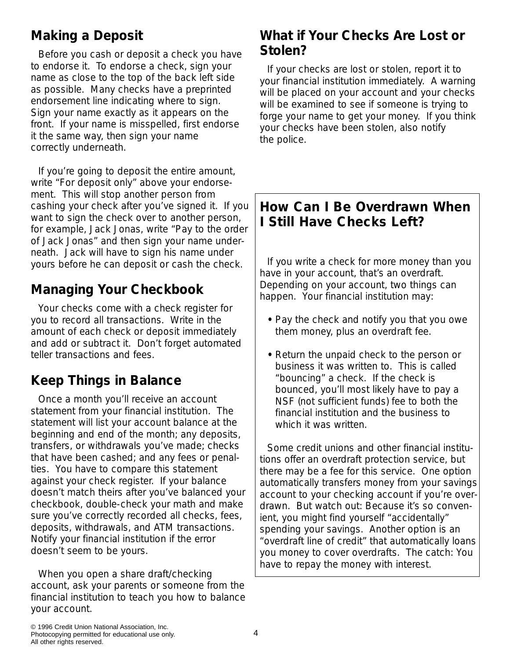#### **Making a Deposit**

Before you cash or deposit a check you have to endorse it. To endorse a check, sign your name as close to the top of the back left side as possible. Many checks have a preprinted endorsement line indicating where to sign. Sign your name exactly as it appears on the front. If your name is misspelled, first endorse it the same way, then sign your name correctly underneath.

If you're going to deposit the entire amount, write "For deposit only" above your endorsement. This will stop another person from cashing your check after you've signed it. If you want to sign the check over to another person, for example, Jack Jonas, write "Pay to the order of Jack Jonas" and then sign your name underneath. Jack will have to sign his name under yours before he can deposit or cash the check.

#### **Managing Your Checkbook**

Your checks come with a check register for you to record all transactions. Write in the amount of each check or deposit immediately and add or subtract it. Don't forget automated teller transactions and fees.

#### **Keep Things in Balance**

Once a month you'll receive an account statement from your financial institution. The statement will list your account balance at the beginning and end of the month; any deposits, transfers, or withdrawals you've made; checks that have been cashed; and any fees or penalties. You have to compare this statement against your check register. If your balance doesn't match theirs after you've balanced your checkbook, double-check your math and make sure you've correctly recorded all checks, fees, deposits, withdrawals, and ATM transactions. Notify your financial institution if the error doesn't seem to be yours.

When you open a share draft/checking account, ask your parents or someone from the financial institution to teach you how to balance your account.

#### **What if Your Checks Are Lost or Stolen?**

If your checks are lost or stolen, report it to your financial institution immediately. A warning will be placed on your account and your checks will be examined to see if someone is trying to forge your name to get your money. If you think your checks have been stolen, also notify the police.

#### **How Can I Be Overdrawn When I Still Have Checks Left?**

If you write a check for more money than you have in your account, that's an overdraft. Depending on your account, two things can happen. Your financial institution may:

- Pay the check and notify you that you owe them money, plus an overdraft fee.
- Return the unpaid check to the person or business it was written to. This is called "bouncing" a check. If the check is bounced, you'll most likely have to pay a NSF (not sufficient funds) fee to both the financial institution and the business to which it was written.

Some credit unions and other financial institutions offer an overdraft protection service, but there may be a fee for this service. One option automatically transfers money from your savings account to your checking account if you're overdrawn. But watch out: Because it's so convenient, you might find yourself "accidentally" spending your savings. Another option is an "overdraft line of credit" that automatically loans you money to cover overdrafts. The catch: You have to repay the money with interest.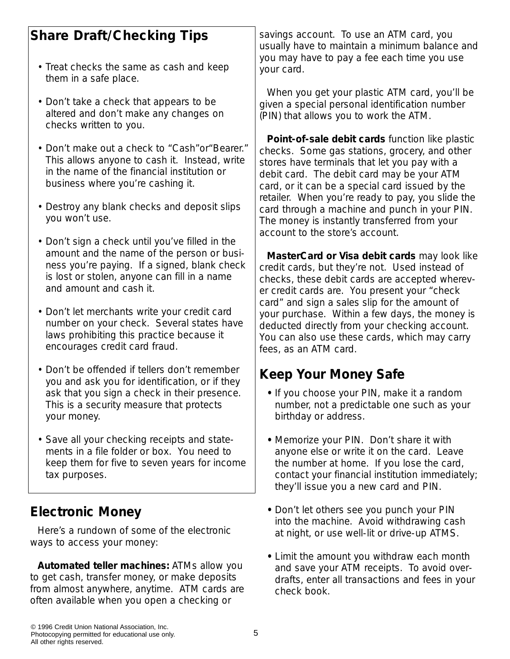| <b>Share Draft/Checking Tips</b> |  |
|----------------------------------|--|

- Treat checks the same as cash and keep them in a safe place.
- Don't take a check that appears to be altered and don't make any changes on checks written to you.
- Don't make out a check to "Cash"or"Bearer." This allows anyone to cash it. Instead, write in the name of the financial institution or business where you're cashing it.
- Destroy any blank checks and deposit slips you won't use.
- Don't sign a check until you've filled in the amount and the name of the person or business you're paying. If a signed, blank check is lost or stolen, anyone can fill in a name and amount and cash it.
- Don't let merchants write your credit card number on your check. Several states have laws prohibiting this practice because it encourages credit card fraud.
- Don't be offended if tellers don't remember you and ask you for identification, or if they ask that you sign a check in their presence. This is a security measure that protects your money.
- Save all your checking receipts and statements in a file folder or box. You need to keep them for five to seven years for income tax purposes.

#### **Electronic Money**

Here's a rundown of some of the electronic ways to access your money:

**Automated teller machines:** ATMs allow you to get cash, transfer money, or make deposits from almost anywhere, anytime. ATM cards are often available when you open a checking or

savings account. To use an ATM card, you usually have to maintain a minimum balance and you may have to pay a fee each time you use your card.

When you get your plastic ATM card, you'll be given a special personal identification number (PIN) that allows you to work the ATM.

**Point-of-sale debit cards** function like plastic checks. Some gas stations, grocery, and other stores have terminals that let you pay with a debit card. The debit card may be your ATM card, or it can be a special card issued by the retailer. When you're ready to pay, you slide the card through a machine and punch in your PIN. The money is instantly transferred from your account to the store's account.

**MasterCard or Visa debit cards** may look like credit cards, but they're not. Used instead of checks, these debit cards are accepted wherever credit cards are. You present your "check card" and sign a sales slip for the amount of your purchase. Within a few days, the money is deducted directly from your checking account. You can also use these cards, which may carry fees, as an ATM card.

#### **Keep Your Money Safe**

- **•** If you choose your PIN, make it a random number, not a predictable one such as your birthday or address.
- **•** Memorize your PIN. Don't share it with anyone else or write it on the card. Leave the number at home. If you lose the card, contact your financial institution immediately; they'll issue you a new card and PIN.
- **•** Don't let others see you punch your PIN into the machine. Avoid withdrawing cash at night, or use well-lit or drive-up ATMS.
- **•** Limit the amount you withdraw each month and save your ATM receipts. To avoid overdrafts, enter all transactions and fees in your check book.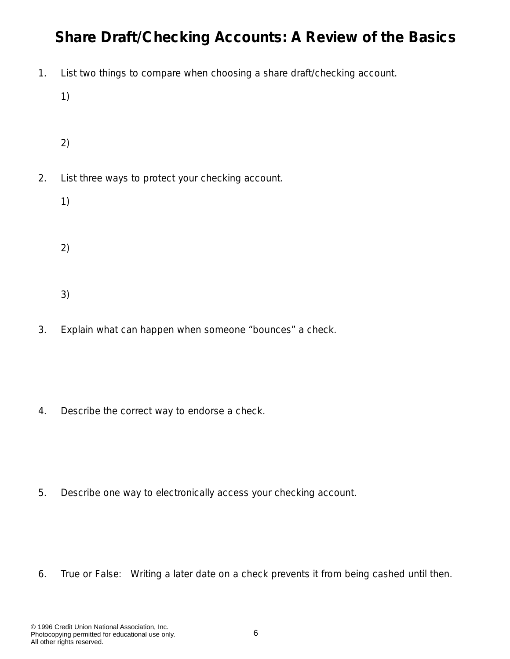# **Share Draft/Checking Accounts: A Review of the Basics**

- 1. List two things to compare when choosing a share draft/checking account.
	- 1)
	- 2)
- 2. List three ways to protect your checking account.
	- 1)
	-
	- 2)
		-
	- 3)
- 3. Explain what can happen when someone "bounces" a check.

4. Describe the correct way to endorse a check.

5. Describe one way to electronically access your checking account.

6. True or False: Writing a later date on a check prevents it from being cashed until then.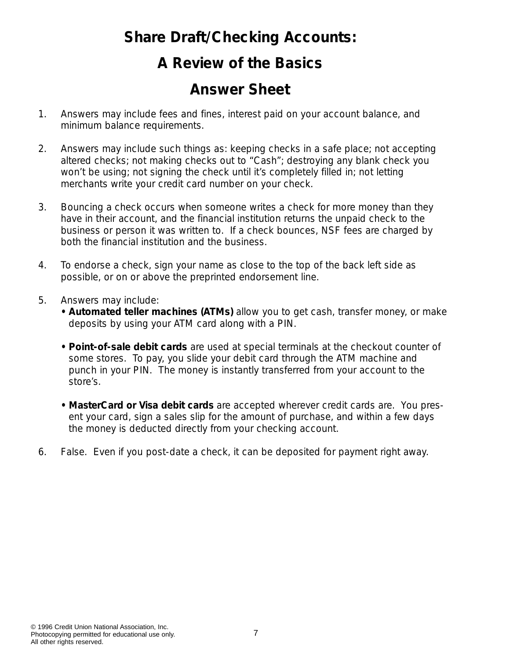#### **Share Draft/Checking Accounts:**

# **A Review of the Basics**

## *Answer Sheet*

- 1. Answers may include fees and fines, interest paid on your account balance, and minimum balance requirements.
- 2. Answers may include such things as: keeping checks in a safe place; not accepting altered checks; not making checks out to "Cash"; destroying any blank check you won't be using; not signing the check until it's completely filled in; not letting merchants write your credit card number on your check.
- 3. Bouncing a check occurs when someone writes a check for more money than they have in their account, and the financial institution returns the unpaid check to the business or person it was written to. If a check bounces, NSF fees are charged by both the financial institution and the business.
- 4. To endorse a check, sign your name as close to the top of the back left side as possible, or on or above the preprinted endorsement line.
- 5. Answers may include:
	- **Automated teller machines (ATMs)** allow you to get cash, transfer money, or make deposits by using your ATM card along with a PIN.
	- **Point-of-sale debit cards** are used at special terminals at the checkout counter of some stores. To pay, you slide your debit card through the ATM machine and punch in your PIN. The money is instantly transferred from your account to the store's.
	- *MasterCard or Visa debit cards* are accepted wherever credit cards are. You present your card, sign a sales slip for the amount of purchase, and within a few days the money is deducted directly from your checking account.
- 6. False. Even if you post-date a check, it can be deposited for payment right away.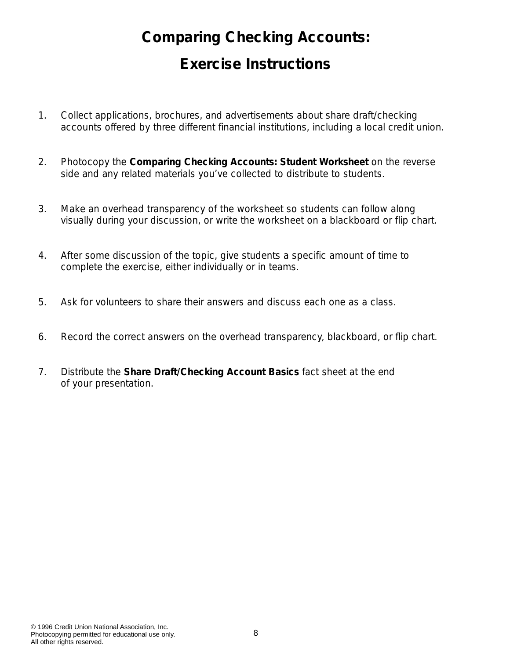# **Comparing Checking Accounts: Exercise Instructions**

- 1. Collect applications, brochures, and advertisements about share draft/checking accounts offered by three different financial institutions, including a local credit union.
- 2. Photocopy the *Comparing Checking Accounts: Student Worksheet* on the reverse side and any related materials you've collected to distribute to students.
- 3. Make an overhead transparency of the worksheet so students can follow along visually during your discussion, or write the worksheet on a blackboard or flip chart.
- 4. After some discussion of the topic, give students a specific amount of time to complete the exercise, either individually or in teams.
- 5. Ask for volunteers to share their answers and discuss each one as a class.
- 6. Record the correct answers on the overhead transparency, blackboard, or flip chart.
- 7. Distribute the *Share Draft/Checking Account Basics* fact sheet at the end of your presentation.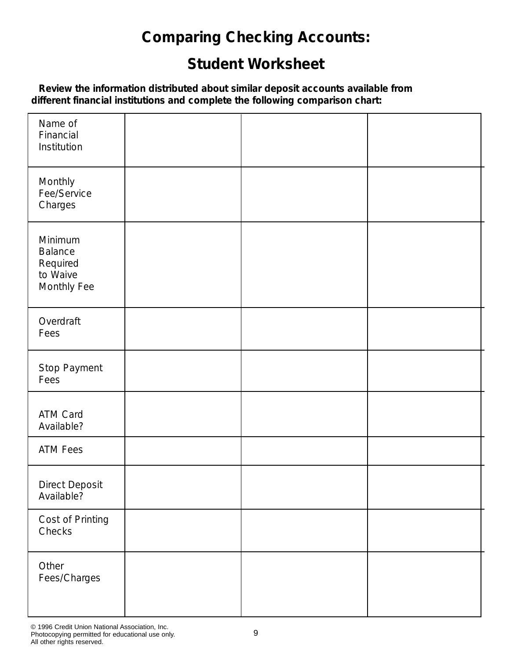# **Comparing Checking Accounts:**

# **Student Worksheet**

*Review the information distributed about similar deposit accounts available from different financial institutions and complete the following comparison chart:*

| Name of<br>Financial<br>Institution                              |  |  |
|------------------------------------------------------------------|--|--|
| Monthly<br>Fee/Service<br>Charges                                |  |  |
| Minimum<br><b>Balance</b><br>Required<br>to Waive<br>Monthly Fee |  |  |
| Overdraft<br>Fees                                                |  |  |
| Stop Payment<br>Fees                                             |  |  |
| ATM Card<br>Available?                                           |  |  |
| <b>ATM Fees</b>                                                  |  |  |
| Direct Deposit<br>Available?                                     |  |  |
| Cost of Printing<br>Checks                                       |  |  |
| Other<br>Fees/Charges                                            |  |  |

© 1996 Credit Union National Association, Inc. Photocopying permitted for educational use only. All other rights reserved.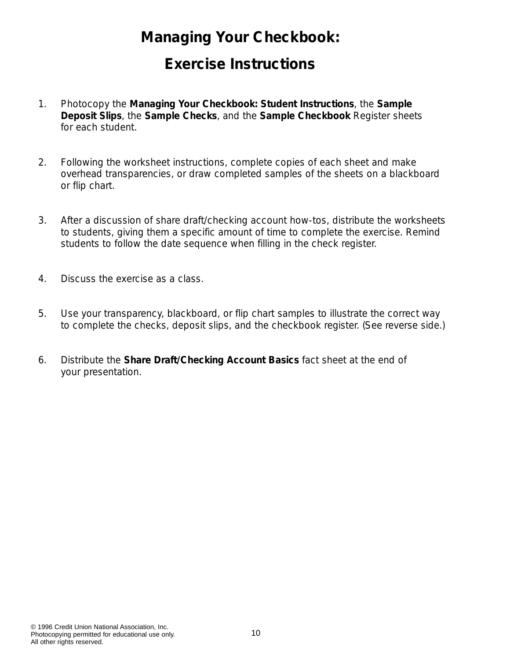## **Managing Your Checkbook:**

#### **Exercise Instructions**

- 1. Photocopy the *Managing Your Checkbook: Student Instructions*, the *Sample Deposit Slips*, the *Sample Checks*, and the *Sample Checkbook Register* sheets for each student.
- 2. Following the worksheet instructions, complete copies of each sheet and make overhead transparencies, or draw completed samples of the sheets on a blackboard or flip chart.
- 3. After a discussion of share draft/checking account how-tos, distribute the worksheets to students, giving them a specific amount of time to complete the exercise. Remind students to follow the date sequence when filling in the check register.
- 4. Discuss the exercise as a class.
- 5. Use your transparency, blackboard, or flip chart samples to illustrate the correct way to complete the checks, deposit slips, and the checkbook register. (See reverse side.)
- 6. Distribute the *Share Draft/Checking Account Basics* fact sheet at the end of your presentation.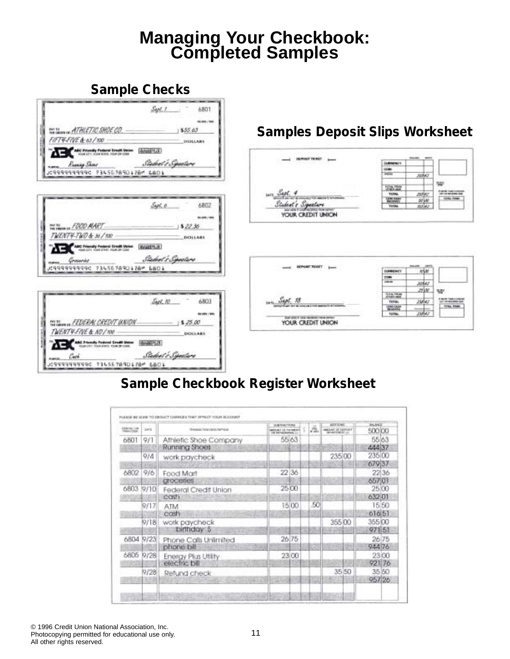# **Managing Your Checkbook: Completed Samples**

#### **Sample Checks**



#### **Sample Checkbook Register Worksheet**

| <b>PEAK MITTHE</b><br><b>FRANCISCO</b> | <b>SAFE</b> | 19 Animal, 7 Kiel Od Kr. Terminale     | <b>SAFEATAWA</b><br>senari del minerale<br>al listrad leasters. | ль. | <b>BUILT LA MOT</b><br>MADAG OF DEFICIER | <b>Invites</b><br>500.00 |       |
|----------------------------------------|-------------|----------------------------------------|-----------------------------------------------------------------|-----|------------------------------------------|--------------------------|-------|
| 6801                                   | 9/1         | Athletic Shoe Company<br>Running Shoes | 55 63                                                           |     |                                          | 55/63<br>444 37          |       |
|                                        | Q/A         | work paycheck                          |                                                                 |     | 235 00                                   | 235 00<br>679 37         |       |
| 6802                                   | 9/6         | Food Mart<br>croceries                 | 22 36                                                           |     |                                          | 657 01                   | 22 36 |
|                                        | 6803 9/10   | Federal Credit Union<br>cosh           | 25 00                                                           |     |                                          | 25 00<br>632 01          |       |
| .                                      | 9/17        | ATM<br>cash                            | 15 00                                                           | .50 |                                          | 616 51                   | 15.50 |
|                                        | 9/18        | work paycheck<br>birthday 5            |                                                                 |     | 355.00                                   | 355 00<br>97151          |       |
| 6804 9/23                              |             | Phone Calls Unlimited<br>phone bill    | 26 75                                                           |     |                                          | 944 76                   | 26 75 |
| 6805                                   | 9/28        | Energy Plus Utility<br>electric bill   | 23 00                                                           |     |                                          | 921 76                   | 23/00 |
|                                        | 9/28        | Refund check                           |                                                                 |     | 35 50                                    | 957 26                   | 35 50 |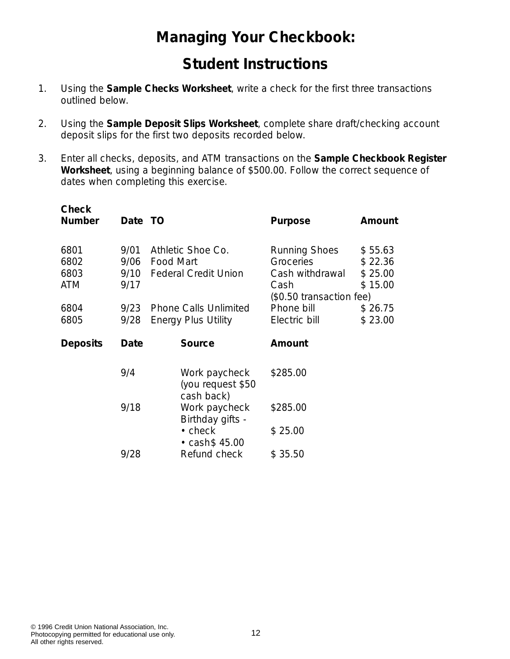# **Managing Your Checkbook:**

#### **Student Instructions**

- 1. Using the *Sample Checks Worksheet*, write a check for the first three transactions outlined below.
- 2. Using the *Sample Deposit Slips Worksheet,* complete share draft/checking account deposit slips for the first two deposits recorded below.
- 3. Enter all checks, deposits, and ATM transactions on the *Sample Checkbook Register Worksheet*, using a beginning balance of \$500.00. Follow the correct sequence of dates when completing this exercise.

| <b>Check</b><br><b>Number</b>      | Date TO                      |                                                                      | <b>Purpose</b>                                                                           | Amount                                   |
|------------------------------------|------------------------------|----------------------------------------------------------------------|------------------------------------------------------------------------------------------|------------------------------------------|
| 6801<br>6802<br>6803<br><b>ATM</b> | 9/01<br>9/06<br>9/10<br>9/17 | Athletic Shoe Co.<br><b>Food Mart</b><br><b>Federal Credit Union</b> | <b>Running Shoes</b><br>Groceries<br>Cash withdrawal<br>Cash<br>(\$0.50 transaction fee) | \$55.63<br>\$22.36<br>\$25.00<br>\$15.00 |
| 6804<br>6805                       | 9/23<br>9/28                 | <b>Phone Calls Unlimited</b><br><b>Energy Plus Utility</b>           | Phone bill<br>Electric bill                                                              | \$26.75<br>\$23.00                       |
|                                    |                              |                                                                      |                                                                                          |                                          |
| <b>Deposits</b>                    | Date                         | <b>Source</b>                                                        | Amount                                                                                   |                                          |
|                                    | 9/4                          | Work paycheck<br>(you request \$50                                   | \$285.00                                                                                 |                                          |
|                                    | 9/18                         | cash back)<br>Work paycheck                                          | \$285.00                                                                                 |                                          |
|                                    |                              | Birthday gifts -<br>$\cdot$ check<br>$\cdot$ cash\$ 45.00            | \$25.00                                                                                  |                                          |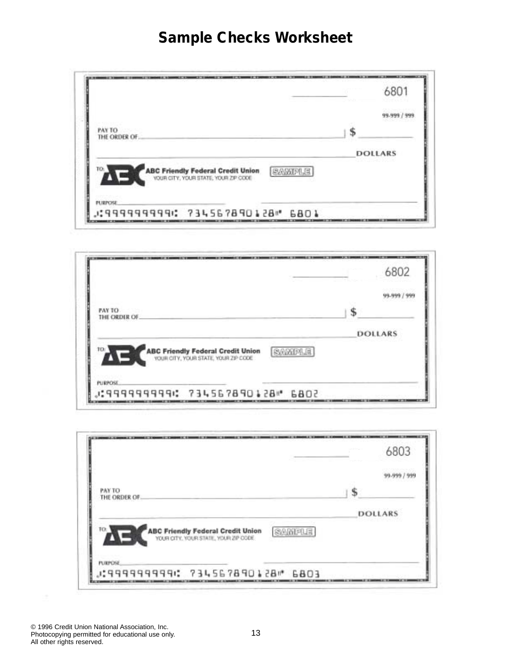# **Sample Checks Worksheet**

|                                                                                                         | 6801           |
|---------------------------------------------------------------------------------------------------------|----------------|
|                                                                                                         | 99-999 / 999   |
| PAY TO<br>THE ORDER OF                                                                                  |                |
|                                                                                                         | <b>DOLLARS</b> |
| 10<br><b>ABC Friendly Federal Credit Union</b><br><b>SAMPLE</b><br>YOUR CITY, YOUR STATE, YOUR ZIP CODE |                |
| <b>PURPOSE</b>                                                                                          |                |
| .083 "B5109999: 734567890128".                                                                          |                |

|                                                                                                    | 6802           |
|----------------------------------------------------------------------------------------------------|----------------|
|                                                                                                    | <b>44.8997</b> |
| PAY TO<br>THE ORDER OF.                                                                            |                |
|                                                                                                    | DOLLARS        |
| 10.1<br>SAMPLE<br><b>ABC Friendly Federal Credit Union</b><br>YOUR CITY, YOUR STATE, YOUR ZIP CODE |                |
| <b>PURPOSE</b>                                                                                     |                |
| J:9999999994: 734567890128" 6802                                                                   |                |

|                                                                                                   | 6803           |
|---------------------------------------------------------------------------------------------------|----------------|
|                                                                                                   | 99-999 / 999   |
| <b>PAY TO</b><br>THE ORDER OF.                                                                    |                |
|                                                                                                   | <b>DOLLARS</b> |
| TO:<br><b>ABC Friendly Federal Credit Union</b><br>YOUR CITY, YOUR STATE, YOUR ZIP CODE<br>SAMPLE |                |
| <b>PURPOSE</b>                                                                                    |                |
| COB3 "B51091999" SPPPPPPPPPP:L                                                                    |                |

© 1996 Credit Union National Association, Inc. Photocopying permitted for educational use only. All other rights reserved.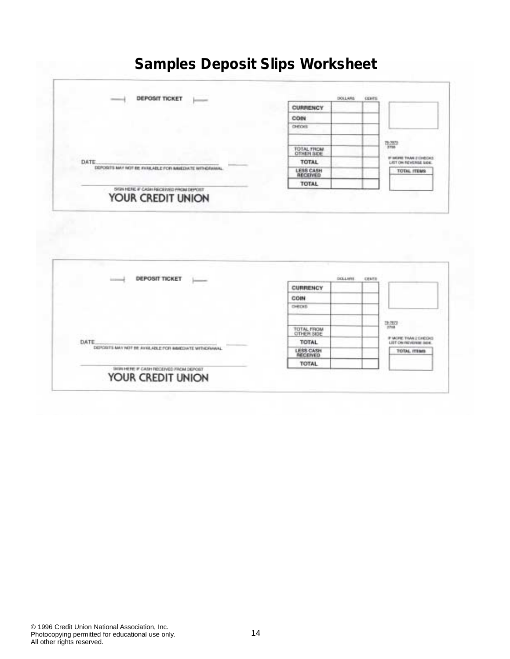# **Samples Deposit Slips Worksheet**



| <b>DEPOSIT TICKET</b>                                       | DOLLARS                  | <b>CEMTS</b>                                  |
|-------------------------------------------------------------|--------------------------|-----------------------------------------------|
|                                                             | <b>CURRENCY</b>          |                                               |
|                                                             | COIN                     |                                               |
|                                                             | OWDAS                    |                                               |
|                                                             |                          | $\frac{13.30}{274}$                           |
|                                                             | TOTAL FROM<br>OTHER SIDE |                                               |
| DATE                                                        | <b>TOTAL</b>             | IF MORE THAN E-DIRECK<br>JST ON INDIGNINE SEX |
| DEPOSITS MAY NOT BE AVAILABLE FOR ABRIDIATE WITHDRAWAL      | LESS CASH<br>RECEIVED    | <b>TOTAL ITEMS</b>                            |
|                                                             | <b>TOTAL</b>             |                                               |
| SIGN HERE IF CASH RECEIVED FROM DEPOST<br>YOUR CREDIT UNION |                          |                                               |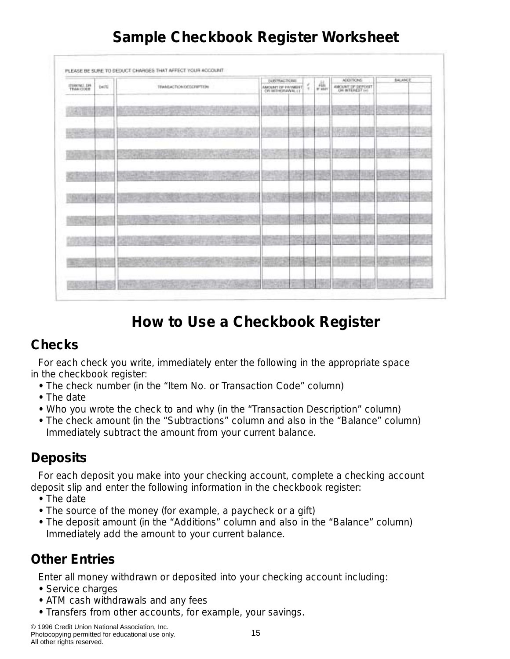| ITSBE NET  DIR    | <b>DATE</b> | TRANSACTION DESCRIPTION            | <b><i>UUBTRACTIONS</i></b><br>AMOUNT DE EWIMBER |     | $\tau$ | 406<br># 4MY        | <b>ADDITIONS</b><br>AMOUNT OF DEPOSIT |             | <b>BALANCE</b> |                       |
|-------------------|-------------|------------------------------------|-------------------------------------------------|-----|--------|---------------------|---------------------------------------|-------------|----------------|-----------------------|
|                   |             | Mat 1                              |                                                 | Đ.  | ×      |                     | 778-1050                              |             |                | <b>All Lot</b>        |
|                   |             |                                    | 39                                              | w   |        |                     |                                       |             | <u>SP 37</u>   | 45%                   |
|                   | 9-15        | <b>CONTROL</b>                     | $\bullet$                                       | ŧ   | u      | <b>The Contract</b> | ø                                     |             |                | $\sim 10^{-1}$<br>- 4 |
| œ                 |             | 매도<br>SACTOR B<br>A)               |                                                 | n   |        | ы                   | <b>CALIFORNIA</b>                     | 用途          |                | 196                   |
|                   |             |                                    |                                                 |     |        | īτ                  |                                       | æ.          |                |                       |
|                   |             | al fore<br>9150<br><b>Lettrack</b> |                                                 |     |        | 8                   |                                       | 47          |                | и                     |
| <b>CONTRACTOR</b> | the light   | <b>PARTIES</b>                     | --                                              | YA) | ×      |                     | <b>Section</b><br><b>TIME OF</b>      | 57)<br>- 1  | <b>SALE</b>    | Read                  |
| 225               |             | <b>Corp.</b>                       |                                                 |     |        | 345                 | 特担目                                   | <b>Alex</b> | ×              |                       |
|                   |             | <b>William</b>                     |                                                 |     |        |                     |                                       |             |                |                       |

# **Sample Checkbook Register Worksheet**

# **How to Use a Checkbook Register**

## **Checks**

For each check you write, immediately enter the following in the appropriate space in the checkbook register:

- The check number (in the "Item No. or Transaction Code" column)
- The date
- Who you wrote the check to and why (in the "Transaction Description" column)
- The check amount (in the "Subtractions" column and also in the "Balance" column) Immediately subtract the amount from your current balance.

## **Deposits**

For each deposit you make into your checking account, complete a checking account deposit slip and enter the following information in the checkbook register:

- The date
- The source of the money (for example, a paycheck or a gift)
- The deposit amount (in the "Additions" column and also in the "Balance" column) Immediately add the amount to your current balance.

# **Other Entries**

Enter all money withdrawn or deposited into your checking account including:

- Service charges
- ATM cash withdrawals and any fees
- Transfers from other accounts, for example, your savings.

© 1996 Credit Union National Association, Inc. Photocopying permitted for educational use only. All other rights reserved.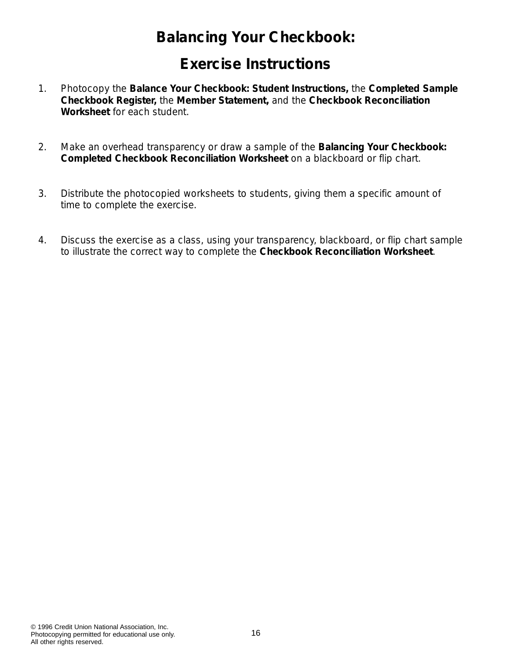# **Balancing Your Checkbook:**

## **Exercise Instructions**

- 1. Photocopy the *Balance Your Checkbook: Student Instructions,* the *Completed Sample Checkbook Register,* the *Member Statement,* and the *Checkbook Reconciliation Worksheet* for each student.
- 2. Make an overhead transparency or draw a sample of the *Balancing Your Checkbook: Completed Checkbook Reconciliation Worksheet* on a blackboard or flip chart.
- 3. Distribute the photocopied worksheets to students, giving them a specific amount of time to complete the exercise.
- 4. Discuss the exercise as a class, using your transparency, blackboard, or flip chart sample to illustrate the correct way to complete the *Checkbook Reconciliation Worksheet*.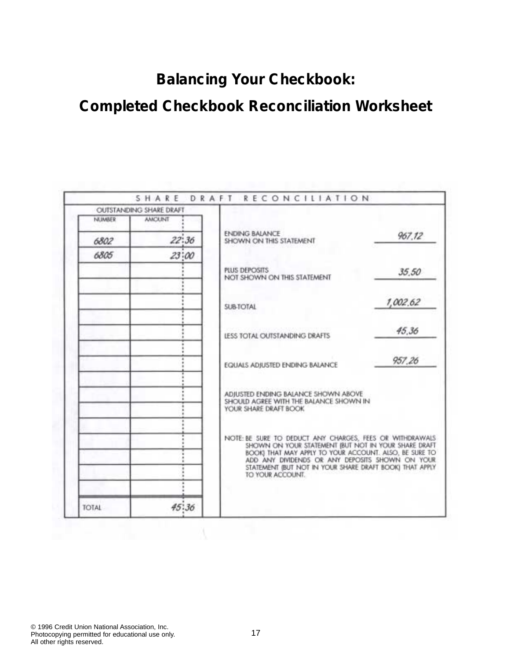# **Balancing Your Checkbook:**

# **Completed Checkbook Reconciliation Worksheet**

|              | OUTSTANDING SHARE DRAFT |                                                                                                                                                                                                                                                                                                              |          |
|--------------|-------------------------|--------------------------------------------------------------------------------------------------------------------------------------------------------------------------------------------------------------------------------------------------------------------------------------------------------------|----------|
| NUMBER       | <b>AMOUNT</b>           |                                                                                                                                                                                                                                                                                                              |          |
| 6802         | 22:36                   | ENDING BALANCE<br>SHOWN ON THIS STATEMENT                                                                                                                                                                                                                                                                    | 967.12   |
| 6805         | 23:00                   |                                                                                                                                                                                                                                                                                                              |          |
|              |                         | PLUS DEPOSITS<br>NOT SHOWN ON THIS STATEMENT                                                                                                                                                                                                                                                                 | 35.50    |
|              |                         | <b>SUB-TOTAL</b>                                                                                                                                                                                                                                                                                             | 1,002.62 |
|              |                         | <b>LESS TOTAL OUTSTANDING DRAFTS</b>                                                                                                                                                                                                                                                                         | 45.36    |
|              |                         | EQUALS ADJUSTED ENDING BALANCE                                                                                                                                                                                                                                                                               | 957,26   |
|              |                         | ADJUSTED ENDING BALANCE SHOWN ABOVE<br>SHOULD AGREE WITH THE BALANCE SHOWN IN<br>YOUR SHARE DRAFT BOOK                                                                                                                                                                                                       |          |
|              |                         | NOTE: BE SURE TO DEDUCT ANY CHARGES, FEES OR WITHDRAWALS<br>SHOWN ON YOUR STATEMENT (BUT NOT IN YOUR SHARE DRAFT<br>BOOK) THAT MAY APPLY TO YOUR ACCOUNT. ALSO, BE SURE TO<br>ADD ANY DIVIDENDS OR ANY DEPOSITS SHOWN ON YOUR<br>STATEMENT (BUT NOT IN YOUR SHARE DRAFT BOOK) THAT APPLY<br>TO YOUR ACCOUNT. |          |
| <b>IOTAL</b> | 45:36                   |                                                                                                                                                                                                                                                                                                              |          |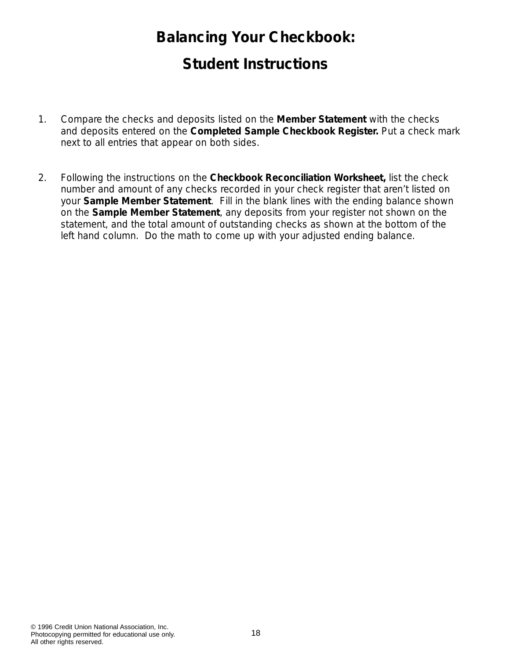# **Balancing Your Checkbook: Student Instructions**

- 1. Compare the checks and deposits listed on the *Member Statement* with the checks and deposits entered on the *Completed Sample Checkbook Register.* Put a check mark next to all entries that appear on both sides.
- 2. Following the instructions on the *Checkbook Reconciliation Worksheet,* list the check number and amount of any checks recorded in your check register that aren't listed on your *Sample Member Statement*. Fill in the blank lines with the ending balance shown on the *Sample Member Statement*, any deposits from your register not shown on the statement, and the total amount of outstanding checks as shown at the bottom of the left hand column. Do the math to come up with your adjusted ending balance.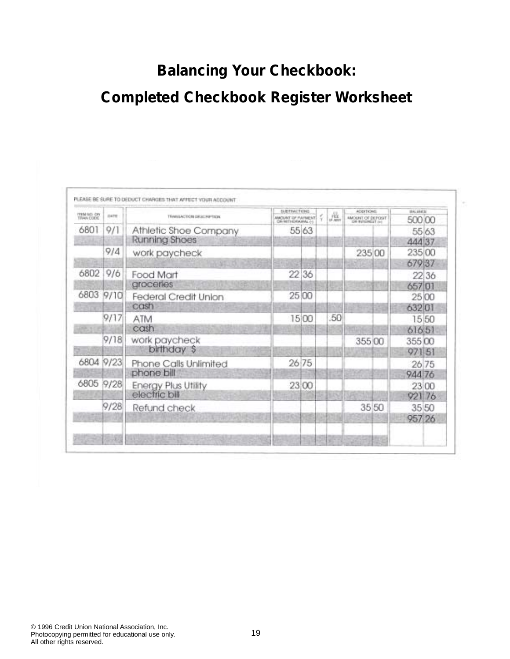# **Balancing Your Checkbook: Completed Checkbook Register Worksheet**

| MAQUALT OF PAYMENT<br>9/1<br>55 63<br>6801<br>Athletic Shoe Company<br><b>Running Shoes</b><br>9/4<br>work paycheck<br>235 00<br>679 37<br>9/6<br>22 36<br>Food Mart<br>groceries<br>9/10<br>25 00<br><b>Federal Credit Union</b><br>cash<br>9/17<br>50<br>15 00<br>ATM<br>cash<br>9/18<br>work paycheck<br>355 00<br>birthday \$<br>26 75<br>Phone Calls Unlimited<br>phone bill<br>9/28<br>23 00<br><b>Energy Plus Utility</b><br>electric bill | <b>TEM AD ON</b><br>TRAN CODE | DATE | TRANSACTION DRUG PAPTION | <b>SLISTEMETIONS</b> | 虛 | <b>ADDITIONS</b>  | <b>IRAL ANEXI</b> |       |
|---------------------------------------------------------------------------------------------------------------------------------------------------------------------------------------------------------------------------------------------------------------------------------------------------------------------------------------------------------------------------------------------------------------------------------------------------|-------------------------------|------|--------------------------|----------------------|---|-------------------|-------------------|-------|
| 6802                                                                                                                                                                                                                                                                                                                                                                                                                                              |                               |      |                          |                      |   | AMOUNT OF DEPOSIT | 500 00            |       |
|                                                                                                                                                                                                                                                                                                                                                                                                                                                   |                               |      |                          |                      |   |                   | 55 63<br>444 37   |       |
|                                                                                                                                                                                                                                                                                                                                                                                                                                                   |                               |      |                          |                      |   |                   | 235 00            |       |
| 6803<br>6804 9/23<br>6805                                                                                                                                                                                                                                                                                                                                                                                                                         |                               |      |                          |                      |   |                   |                   |       |
|                                                                                                                                                                                                                                                                                                                                                                                                                                                   |                               |      |                          |                      |   |                   |                   | 22 36 |
|                                                                                                                                                                                                                                                                                                                                                                                                                                                   |                               |      |                          |                      |   |                   | 657 01            |       |
|                                                                                                                                                                                                                                                                                                                                                                                                                                                   |                               |      |                          |                      |   |                   | 25 00             |       |
|                                                                                                                                                                                                                                                                                                                                                                                                                                                   |                               |      |                          |                      |   |                   | 632 01            |       |
|                                                                                                                                                                                                                                                                                                                                                                                                                                                   |                               |      |                          |                      |   |                   | 15 50             |       |
|                                                                                                                                                                                                                                                                                                                                                                                                                                                   |                               |      |                          |                      |   |                   | 61651             |       |
|                                                                                                                                                                                                                                                                                                                                                                                                                                                   |                               |      |                          |                      |   |                   | 355 00            |       |
|                                                                                                                                                                                                                                                                                                                                                                                                                                                   |                               |      |                          |                      |   |                   | 97151             |       |
|                                                                                                                                                                                                                                                                                                                                                                                                                                                   |                               |      |                          |                      |   |                   | 26 75             |       |
|                                                                                                                                                                                                                                                                                                                                                                                                                                                   |                               |      |                          |                      |   |                   | 94476             |       |
|                                                                                                                                                                                                                                                                                                                                                                                                                                                   |                               |      |                          |                      |   |                   | 23 00             |       |
|                                                                                                                                                                                                                                                                                                                                                                                                                                                   |                               |      |                          |                      |   |                   | 921 76            |       |
|                                                                                                                                                                                                                                                                                                                                                                                                                                                   |                               | 9/28 | Refund check             |                      |   | 35 50             | 35 50             |       |
|                                                                                                                                                                                                                                                                                                                                                                                                                                                   |                               |      |                          |                      |   |                   | 957 26            |       |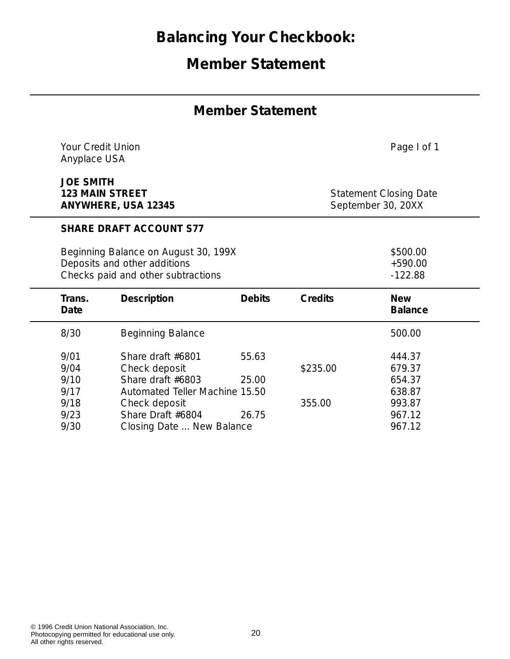# **Balancing Your Checkbook:**

# **Member Statement**

#### **Member Statement**

|                                                      |                                                                                               |                                                                                                                                                                                                                                           |                                                             | Page I of 1                                                        |
|------------------------------------------------------|-----------------------------------------------------------------------------------------------|-------------------------------------------------------------------------------------------------------------------------------------------------------------------------------------------------------------------------------------------|-------------------------------------------------------------|--------------------------------------------------------------------|
| <b>JOE SMITH</b>                                     |                                                                                               |                                                                                                                                                                                                                                           | <b>Statement Closing Date</b><br>September 30, 20XX         |                                                                    |
|                                                      |                                                                                               |                                                                                                                                                                                                                                           |                                                             |                                                                    |
|                                                      |                                                                                               |                                                                                                                                                                                                                                           |                                                             | \$500.00<br>$+590.00$<br>$-122.88$                                 |
| Trans.<br>Date                                       | <b>Description</b>                                                                            | <b>Debits</b>                                                                                                                                                                                                                             | Credits                                                     | <b>New</b><br><b>Balance</b>                                       |
| 8/30                                                 | <b>Beginning Balance</b>                                                                      |                                                                                                                                                                                                                                           |                                                             | 500.00                                                             |
| 9/01<br>9/04<br>9/10<br>9/17<br>9/18<br>9/23<br>9/30 | Share draft #6801<br>Check deposit<br>Share draft #6803<br>Check deposit<br>Share Draft #6804 | 55.63<br>25.00<br>26.75                                                                                                                                                                                                                   | \$235.00<br>355.00                                          | 444.37<br>679.37<br>654.37<br>638.87<br>993.87<br>967.12<br>967.12 |
|                                                      |                                                                                               | <b>Your Credit Union</b><br>Anyplace USA<br><b>123 MAIN STREET</b><br>ANYWHERE, USA 12345<br><b>SHARE DRAFT ACCOUNT S77</b><br>Beginning Balance on August 30, 199X<br>Deposits and other additions<br>Checks paid and other subtractions | Automated Teller Machine 15.50<br>Closing Date  New Balance |                                                                    |